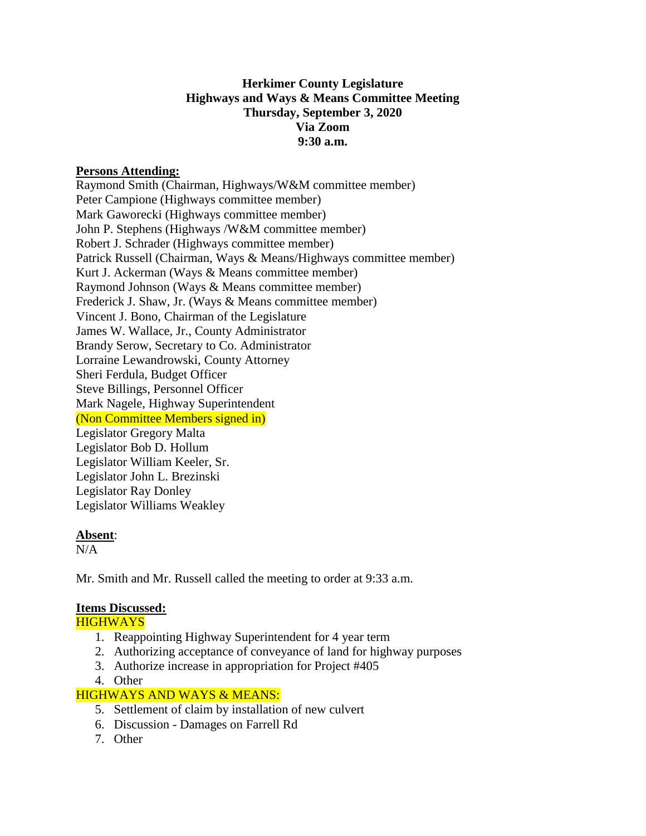# **Herkimer County Legislature Highways and Ways & Means Committee Meeting Thursday, September 3, 2020 Via Zoom 9:30 a.m.**

## **Persons Attending:**

Raymond Smith (Chairman, Highways/W&M committee member) Peter Campione (Highways committee member) Mark Gaworecki (Highways committee member) John P. Stephens (Highways /W&M committee member) Robert J. Schrader (Highways committee member) Patrick Russell (Chairman, Ways & Means/Highways committee member) Kurt J. Ackerman (Ways & Means committee member) Raymond Johnson (Ways & Means committee member) Frederick J. Shaw, Jr. (Ways & Means committee member) Vincent J. Bono, Chairman of the Legislature James W. Wallace, Jr., County Administrator Brandy Serow, Secretary to Co. Administrator Lorraine Lewandrowski, County Attorney Sheri Ferdula, Budget Officer Steve Billings, Personnel Officer Mark Nagele, Highway Superintendent (Non Committee Members signed in) Legislator Gregory Malta Legislator Bob D. Hollum Legislator William Keeler, Sr. Legislator John L. Brezinski Legislator Ray Donley Legislator Williams Weakley

### **Absent**:

 $N/A$ 

Mr. Smith and Mr. Russell called the meeting to order at 9:33 a.m.

# **Items Discussed:**

**HIGHWAYS** 

- 1. Reappointing Highway Superintendent for 4 year term
- 2. Authorizing acceptance of conveyance of land for highway purposes
- 3. Authorize increase in appropriation for Project #405
- 4. Other

# HIGHWAYS AND WAYS & MEANS:

- 5. Settlement of claim by installation of new culvert
- 6. Discussion Damages on Farrell Rd
- 7. Other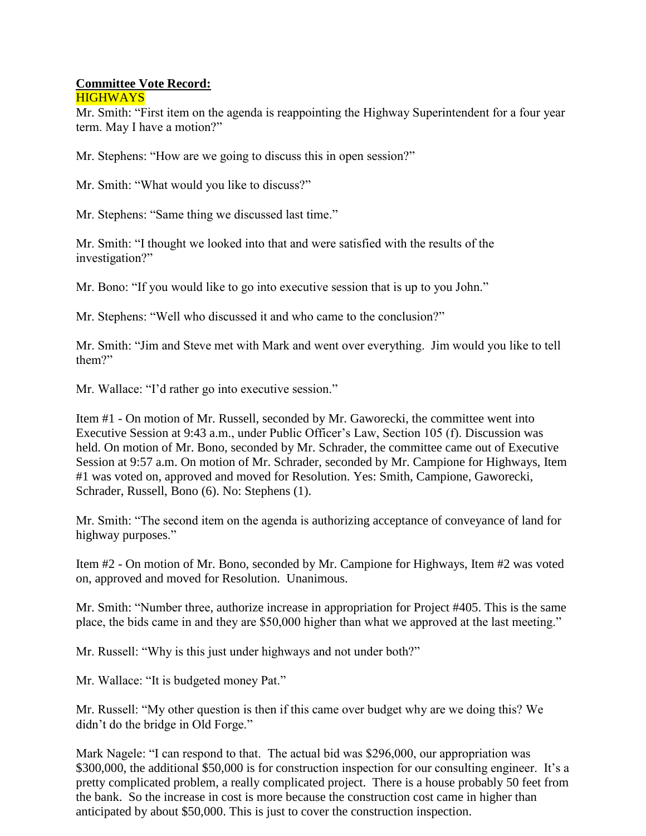#### **Committee Vote Record: HIGHWAYS**

Mr. Smith: "First item on the agenda is reappointing the Highway Superintendent for a four year term. May I have a motion?"

Mr. Stephens: "How are we going to discuss this in open session?"

Mr. Smith: "What would you like to discuss?"

Mr. Stephens: "Same thing we discussed last time."

Mr. Smith: "I thought we looked into that and were satisfied with the results of the investigation?"

Mr. Bono: "If you would like to go into executive session that is up to you John."

Mr. Stephens: "Well who discussed it and who came to the conclusion?"

Mr. Smith: "Jim and Steve met with Mark and went over everything. Jim would you like to tell them?"

Mr. Wallace: "I'd rather go into executive session."

Item #1 - On motion of Mr. Russell, seconded by Mr. Gaworecki, the committee went into Executive Session at 9:43 a.m., under Public Officer's Law, Section 105 (f). Discussion was held. On motion of Mr. Bono, seconded by Mr. Schrader, the committee came out of Executive Session at 9:57 a.m. On motion of Mr. Schrader, seconded by Mr. Campione for Highways, Item #1 was voted on, approved and moved for Resolution. Yes: Smith, Campione, Gaworecki, Schrader, Russell, Bono (6). No: Stephens (1).

Mr. Smith: "The second item on the agenda is authorizing acceptance of conveyance of land for highway purposes."

Item #2 - On motion of Mr. Bono, seconded by Mr. Campione for Highways, Item #2 was voted on, approved and moved for Resolution. Unanimous.

Mr. Smith: "Number three, authorize increase in appropriation for Project #405. This is the same place, the bids came in and they are \$50,000 higher than what we approved at the last meeting."

Mr. Russell: "Why is this just under highways and not under both?"

Mr. Wallace: "It is budgeted money Pat."

Mr. Russell: "My other question is then if this came over budget why are we doing this? We didn't do the bridge in Old Forge."

Mark Nagele: "I can respond to that. The actual bid was \$296,000, our appropriation was \$300,000, the additional \$50,000 is for construction inspection for our consulting engineer. It's a pretty complicated problem, a really complicated project. There is a house probably 50 feet from the bank. So the increase in cost is more because the construction cost came in higher than anticipated by about \$50,000. This is just to cover the construction inspection.